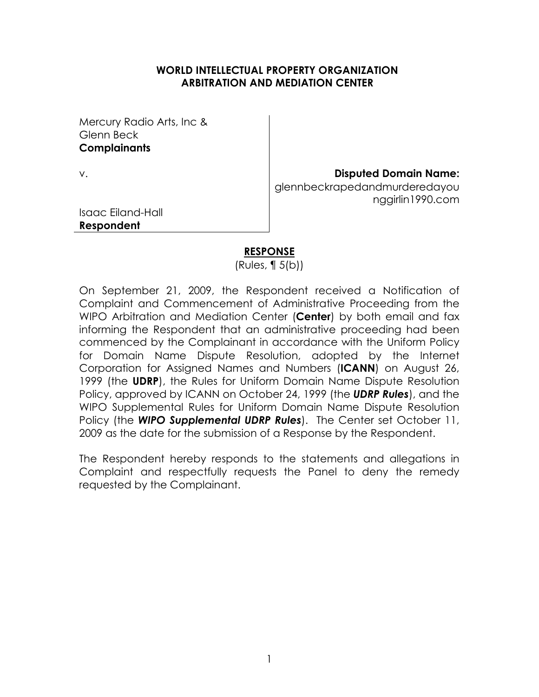#### **WORLD INTELLECTUAL PROPERTY ORGANIZATION ARBITRATION AND MEDIATION CENTER**

Mercury Radio Arts, Inc & Glenn Beck **Complainants**

#### v. **Disputed Domain Name:**

glennbeckrapedandmurderedayou nggirlin1990.com

Isaac Eiland-Hall **Respondent**

#### **RESPONSE**

(Rules, ¶ 5(b))

On September 21, 2009, the Respondent received a Notification of Complaint and Commencement of Administrative Proceeding from the WIPO Arbitration and Mediation Center (**Center**) by both email and fax informing the Respondent that an administrative proceeding had been commenced by the Complainant in accordance with the Uniform Policy for Domain Name Dispute Resolution, adopted by the Internet Corporation for Assigned Names and Numbers (**ICANN**) on August 26, 1999 (the **UDRP**), the Rules for Uniform Domain Name Dispute Resolution Policy, approved by ICANN on October 24, 1999 (the *UDRP Rules*), and the WIPO Supplemental Rules for Uniform Domain Name Dispute Resolution Policy (the *WIPO Supplemental UDRP Rules*). The Center set October 11, 2009 as the date for the submission of a Response by the Respondent.

The Respondent hereby responds to the statements and allegations in Complaint and respectfully requests the Panel to deny the remedy requested by the Complainant.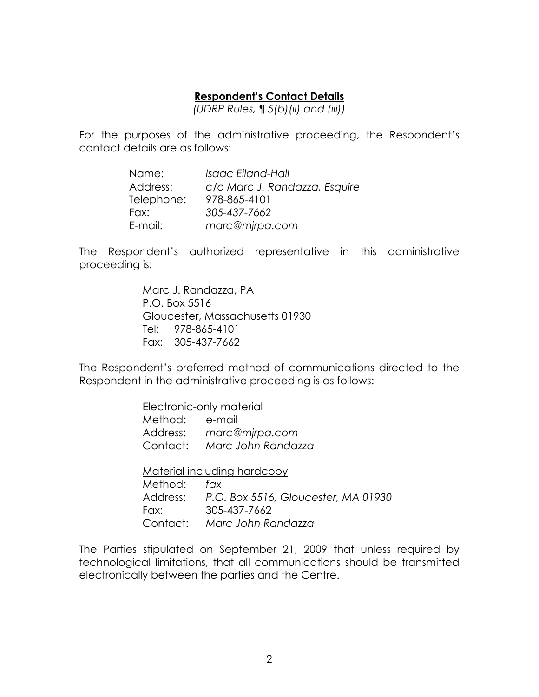### **Respondent's Contact Details**

*(UDRP Rules,* ¶ *5(b)(ii) and (iii))*

For the purposes of the administrative proceeding, the Respondent's contact details are as follows:

| Name:      | Isaac Eiland-Hall             |
|------------|-------------------------------|
| Address:   | c/o Marc J. Randazza, Esquire |
| Telephone: | 978-865-4101                  |
| Fax:       | 305-437-7662                  |
| E-mail:    | marc@mjrpa.com                |

The Respondent's authorized representative in this administrative proceeding is:

> Marc J. Randazza, PA P.O. Box 5516 Gloucester, Massachusetts 01930 Tel: 978-865-4101 Fax: 305-437-7662

The Respondent's preferred method of communications directed to the Respondent in the administrative proceeding is as follows:

> Electronic-only material Method: e-mail Address: *marc@mjrpa.com* Contact: *Marc John Randazza*

Material including hardcopy

Method: *fax* Address: *P.O. Box 5516, Gloucester, MA 01930* Fax: 305-437-7662 Contact: *Marc John Randazza*

The Parties stipulated on September 21, 2009 that unless required by technological limitations, that all communications should be transmitted electronically between the parties and the Centre.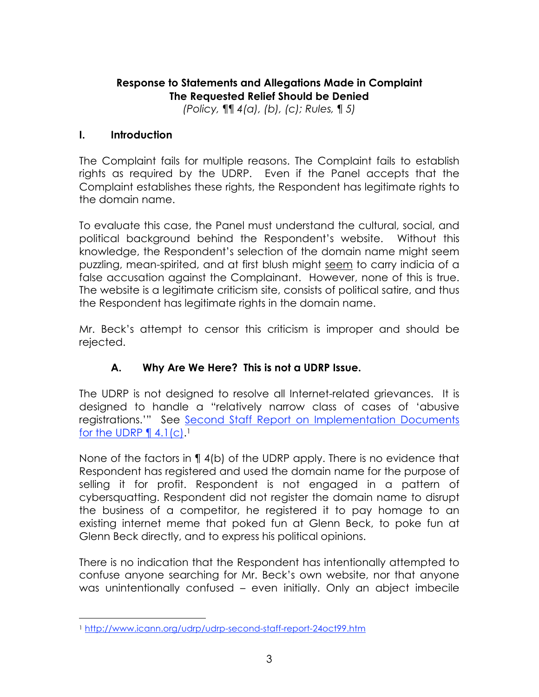## **Response to Statements and Allegations Made in Complaint The Requested Relief Should be Denied**

*(Policy,* ¶¶ *4(a), (b), (c); Rules,* ¶ *5)*

### **I. Introduction**

The Complaint fails for multiple reasons. The Complaint fails to establish rights as required by the UDRP. Even if the Panel accepts that the Complaint establishes these rights, the Respondent has legitimate rights to the domain name.

To evaluate this case, the Panel must understand the cultural, social, and political background behind the Respondent's website. Without this knowledge, the Respondent's selection of the domain name might seem puzzling, mean-spirited, and at first blush might seem to carry indicia of a false accusation against the Complainant. However, none of this is true. The website is a legitimate criticism site, consists of political satire, and thus the Respondent has legitimate rights in the domain name.

Mr. Beck's attempt to censor this criticism is improper and should be rejected.

# **A. Why Are We Here? This is not a UDRP Issue.**

The UDRP is not designed to resolve all Internet-related grievances. It is designed to handle a "relatively narrow class of cases of 'abusive registrations.'" See Second Staff Report on Implementation Documents for the UDRP  $\P$  4.1(c).<sup>1</sup>

None of the factors in ¶ 4(b) of the UDRP apply. There is no evidence that Respondent has registered and used the domain name for the purpose of selling it for profit. Respondent is not engaged in a pattern of cybersquatting. Respondent did not register the domain name to disrupt the business of a competitor, he registered it to pay homage to an existing internet meme that poked fun at Glenn Beck, to poke fun at Glenn Beck directly, and to express his political opinions.

There is no indication that the Respondent has intentionally attempted to confuse anyone searching for Mr. Beck's own website, nor that anyone was unintentionally confused – even initially. Only an abject imbecile

<sup>1</sup> http://www.icann.org/udrp/udrp-second-staff-report-24oct99.htm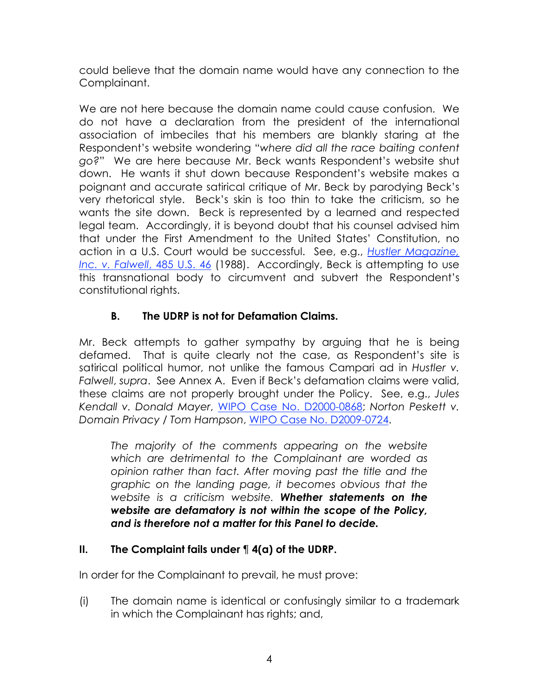could believe that the domain name would have any connection to the Complainant.

We are not here because the domain name could cause confusion. We do not have a declaration from the president of the international association of imbeciles that his members are blankly staring at the Respondent's website wondering "*where did all the race baiting content go?*" We are here because Mr. Beck wants Respondent's website shut down. He wants it shut down because Respondent's website makes a poignant and accurate satirical critique of Mr. Beck by parodying Beck's very rhetorical style. Beck's skin is too thin to take the criticism, so he wants the site down. Beck is represented by a learned and respected legal team. Accordingly, it is beyond doubt that his counsel advised him that under the First Amendment to the United States' Constitution, no action in a U.S. Court would be successful. See, e.g., *Hustler Magazine, Inc. v. Falwell*, 485 U.S. 46 (1988). Accordingly, Beck is attempting to use this transnational body to circumvent and subvert the Respondent's constitutional rights.

# **B. The UDRP is not for Defamation Claims.**

Mr. Beck attempts to gather sympathy by arguing that he is being defamed. That is quite clearly not the case, as Respondent's site is satirical political humor, not unlike the famous Campari ad in *Hustler v. Falwell*, *supra*. See Annex A. Even if Beck's defamation claims were valid, these claims are not properly brought under the Policy. See, e.g., *Jules Kendall v. Donald Mayer*, WIPO Case No. D2000-0868; *Norton Peskett v. Domain Privacy / Tom Hampson*, WIPO Case No. D2009-0724.

*The majority of the comments appearing on the website which are detrimental to the Complainant are worded as opinion rather than fact. After moving past the title and the graphic on the landing page, it becomes obvious that the website is a criticism website. Whether statements on the website are defamatory is not within the scope of the Policy, and is therefore not a matter for this Panel to decide.*

# **II. The Complaint fails under** ¶ **4(a) of the UDRP.**

In order for the Complainant to prevail, he must prove:

(i) The domain name is identical or confusingly similar to a trademark in which the Complainant has rights; and,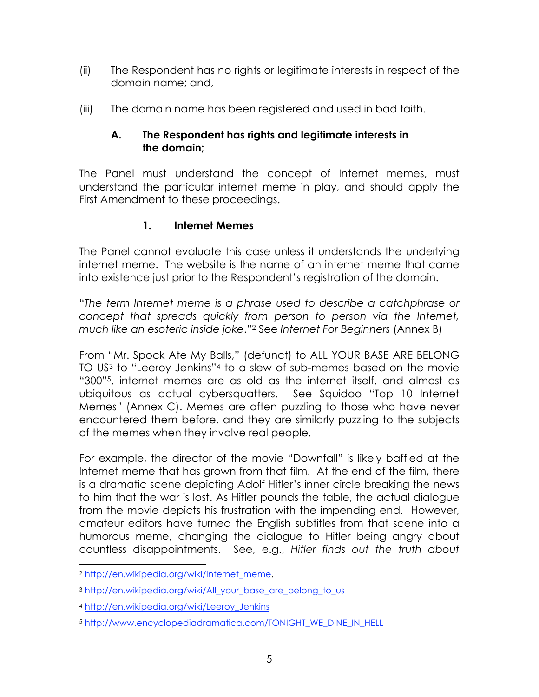- (ii) The Respondent has no rights or legitimate interests in respect of the domain name; and,
- (iii) The domain name has been registered and used in bad faith.

## **A. The Respondent has rights and legitimate interests in the domain;**

The Panel must understand the concept of Internet memes, must understand the particular internet meme in play, and should apply the First Amendment to these proceedings.

## **1. Internet Memes**

The Panel cannot evaluate this case unless it understands the underlying internet meme. The website is the name of an internet meme that came into existence just prior to the Respondent's registration of the domain.

"*The term Internet meme is a phrase used to describe a catchphrase or concept that spreads quickly from person to person via the Internet, much like an esoteric inside joke*."2 See *Internet For Beginners* (Annex B)

From "Mr. Spock Ate My Balls," (defunct) to ALL YOUR BASE ARE BELONG TO US3 to "Leeroy Jenkins"4 to a slew of sub-memes based on the movie "300"5, internet memes are as old as the internet itself, and almost as ubiquitous as actual cybersquatters. See Squidoo "Top 10 Internet Memes" (Annex C). Memes are often puzzling to those who have never encountered them before, and they are similarly puzzling to the subjects of the memes when they involve real people.

For example, the director of the movie "Downfall" is likely baffled at the Internet meme that has grown from that film. At the end of the film, there is a dramatic scene depicting Adolf Hitler's inner circle breaking the news to him that the war is lost. As Hitler pounds the table, the actual dialogue from the movie depicts his frustration with the impending end. However, amateur editors have turned the English subtitles from that scene into a humorous meme, changing the dialogue to Hitler being angry about countless disappointments. See, e.g., *Hitler finds out the truth about* 

<sup>2</sup> http://en.wikipedia.org/wiki/Internet\_meme.

<sup>3</sup> http://en.wikipedia.org/wiki/All\_your\_base\_are\_belong\_to\_us

<sup>4</sup> http://en.wikipedia.org/wiki/Leeroy\_Jenkins

<sup>5</sup> http://www.encyclopediadramatica.com/TONIGHT\_WE\_DINE\_IN\_HELL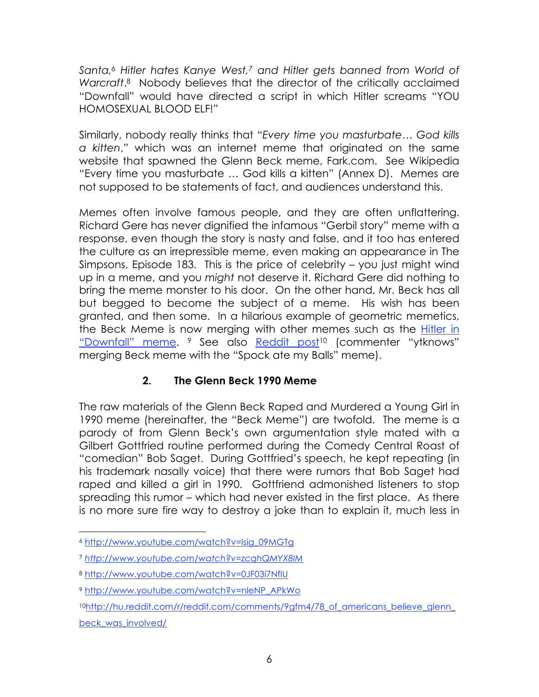*Santa,6 Hitler hates Kanye West,7 and Hitler gets banned from World of Warcraft*.8 Nobody believes that the director of the critically acclaimed "Downfall" would have directed a script in which Hitler screams "YOU HOMOSEXUAL BLOOD ELF!"

Similarly, nobody really thinks that "*Every time you masturbate… God kills a kitten*," which was an internet meme that originated on the same website that spawned the Glenn Beck meme, Fark.com. See Wikipedia "Every time you masturbate … God kills a kitten" (Annex D). Memes are not supposed to be statements of fact, and audiences understand this.

Memes often involve famous people, and they are often unflattering. Richard Gere has never dignified the infamous "Gerbil story" meme with a response, even though the story is nasty and false, and it too has entered the culture as an irrepressible meme, even making an appearance in The Simpsons, Episode 183. This is the price of celebrity – you just might wind up in a meme, and you *might* not deserve it. Richard Gere did nothing to bring the meme monster to his door. On the other hand, Mr. Beck has all but begged to become the subject of a meme. His wish has been granted, and then some. In a hilarious example of geometric memetics, the Beck Meme is now merging with other memes such as the Hitler in "Downfall" meme. <sup>9</sup> See also Reddit post<sup>10</sup> (commenter "ytknows" merging Beck meme with the "Spock ate my Balls" meme).

# **2. The Glenn Beck 1990 Meme**

The raw materials of the Glenn Beck Raped and Murdered a Young Girl in 1990 meme (hereinafter, the "Beck Meme") are twofold. The meme is a parody of from Glenn Beck's own argumentation style mated with a Gilbert Gottfried routine performed during the Comedy Central Roast of "comedian" Bob Saget. During Gottfried's speech, he kept repeating (in his trademark nasally voice) that there were rumors that Bob Saget had raped and killed a girl in 1990. Gottfriend admonished listeners to stop spreading this rumor – which had never existed in the first place. As there is no more sure fire way to destroy a joke than to explain it, much less in

<sup>6</sup> http://www.youtube.com/watch?v=Isig\_09MGTg

<sup>7</sup> *http://www.youtube.com/watch?v=zcqhQMYX8lM*

<sup>8</sup> http://www.youtube.com/watch?v=0JF03i7NfIU

<sup>9</sup> http://www.youtube.com/watch?v=nleNP\_APkWo

<sup>10</sup>http://hu.reddit.com/r/reddit.com/comments/9gfm4/78\_of\_americans\_believe\_glenn\_ beck was involved/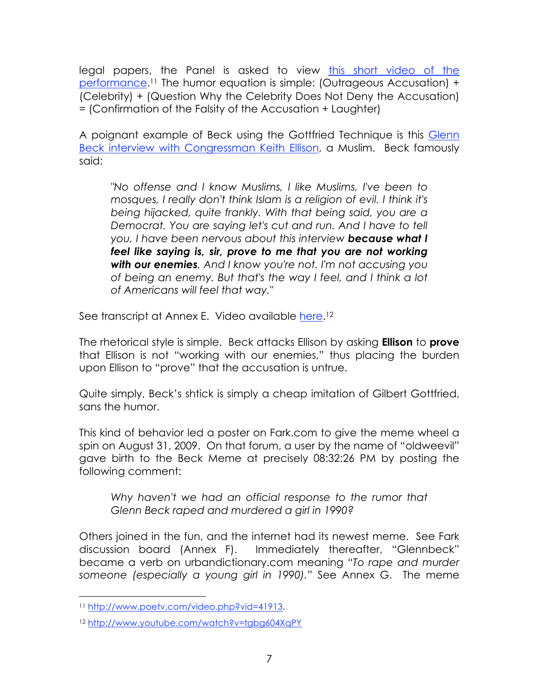legal papers, the Panel is asked to view this short video of the performance.11 The humor equation is simple: (Outrageous Accusation) + (Celebrity) + (Question Why the Celebrity Does Not Deny the Accusation) = (Confirmation of the Falsity of the Accusation + Laughter)

A poignant example of Beck using the Gottfried Technique is this Glenn Beck interview with Congressman Keith Ellison, a Muslim. Beck famously said:

*"No offense and I know Muslims, I like Muslims, I've been to mosques, I really don't think Islam is a religion of evil. I think it's being hijacked, quite frankly. With that being said, you are a Democrat. You are saying let's cut and run. And I have to tell you, I have been nervous about this interview because what I feel like saying is, sir, prove to me that you are not working with our enemies. And I know you're not. I'm not accusing you of being an enemy. But that's the way I feel, and I think a lot of Americans will feel that way."*

See transcript at Annex E. Video available here.<sup>12</sup>

The rhetorical style is simple. Beck attacks Ellison by asking **Ellison** to **prove** that Ellison is not "working with our enemies," thus placing the burden upon Ellison to "prove" that the accusation is untrue.

Quite simply, Beck's shtick is simply a cheap imitation of Gilbert Gottfried, sans the humor.

This kind of behavior led a poster on Fark.com to give the meme wheel a spin on August 31, 2009. On that forum, a user by the name of "oldweevil" gave birth to the Beck Meme at precisely 08:32:26 PM by posting the following comment:

*Why haven't we had an official response to the rumor that Glenn Beck raped and murdered a girl in 1990?* 

Others joined in the fun, and the internet had its newest meme. See Fark discussion board (Annex F). Immediately thereafter, "Glennbeck" became a verb on urbandictionary.com meaning "*To rape and murder someone (especially a young girl in 1990)."* See Annex G. The meme

<sup>11</sup> http://www.poetv.com/video.php?vid=41913.

<sup>12</sup> http://www.youtube.com/watch?v=tgbg604XqPY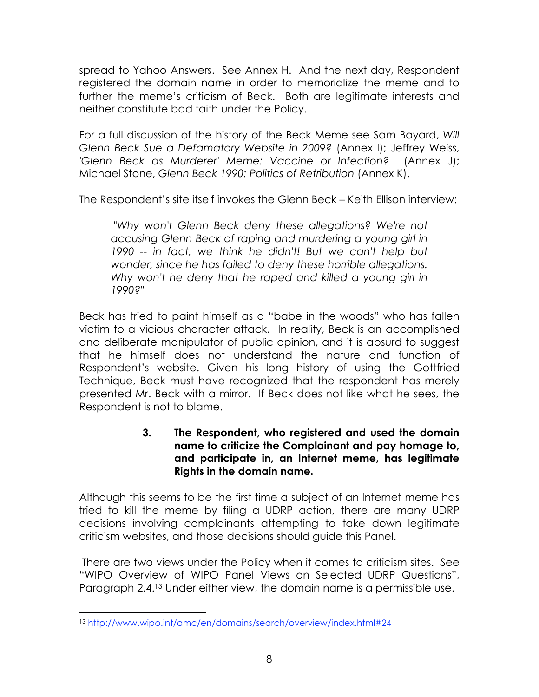spread to Yahoo Answers. See Annex H. And the next day, Respondent registered the domain name in order to memorialize the meme and to further the meme's criticism of Beck. Both are legitimate interests and neither constitute bad faith under the Policy.

For a full discussion of the history of the Beck Meme see Sam Bayard, *Will Glenn Beck Sue a Defamatory Website in 2009?* (Annex I); Jeffrey Weiss, *'Glenn Beck as Murderer' Meme: Vaccine or Infection?* (Annex J); Michael Stone, *Glenn Beck 1990: Politics of Retribution* (Annex K).

The Respondent's site itself invokes the Glenn Beck – Keith Ellison interview:

 *"Why won't Glenn Beck deny these allegations? We're not accusing Glenn Beck of raping and murdering a young girl in 1990 -- in fact, we think he didn't! But we can't help but wonder, since he has failed to deny these horrible allegations. Why won't he deny that he raped and killed a young girl in 1990?"*

Beck has tried to paint himself as a "babe in the woods" who has fallen victim to a vicious character attack. In reality, Beck is an accomplished and deliberate manipulator of public opinion, and it is absurd to suggest that he himself does not understand the nature and function of Respondent's website. Given his long history of using the Gottfried Technique, Beck must have recognized that the respondent has merely presented Mr. Beck with a mirror. If Beck does not like what he sees, the Respondent is not to blame.

> **3. The Respondent, who registered and used the domain name to criticize the Complainant and pay homage to, and participate in, an Internet meme, has legitimate Rights in the domain name.**

Although this seems to be the first time a subject of an Internet meme has tried to kill the meme by filing a UDRP action, there are many UDRP decisions involving complainants attempting to take down legitimate criticism websites, and those decisions should guide this Panel.

 There are two views under the Policy when it comes to criticism sites. See "WIPO Overview of WIPO Panel Views on Selected UDRP Questions", Paragraph 2.4.13 Under either view, the domain name is a permissible use.

 <sup>13</sup> http://www.wipo.int/amc/en/domains/search/overview/index.html#24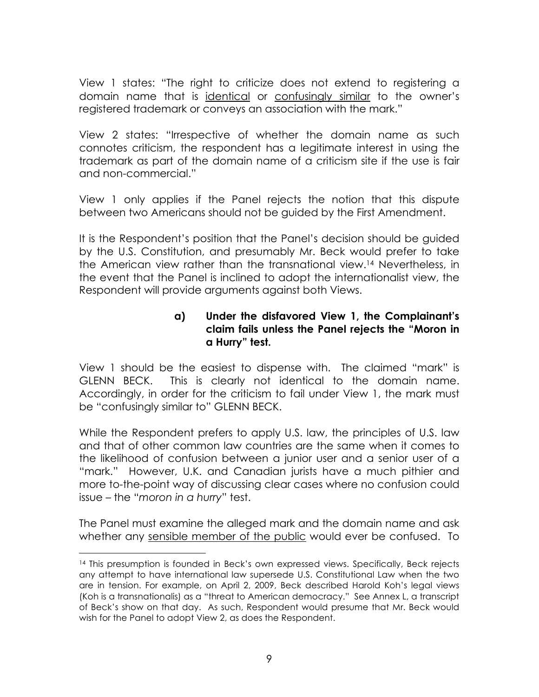View 1 states: "The right to criticize does not extend to registering a domain name that is identical or confusingly similar to the owner's registered trademark or conveys an association with the mark."

View 2 states: "Irrespective of whether the domain name as such connotes criticism, the respondent has a legitimate interest in using the trademark as part of the domain name of a criticism site if the use is fair and non-commercial."

View 1 only applies if the Panel rejects the notion that this dispute between two Americans should not be guided by the First Amendment.

It is the Respondent's position that the Panel's decision should be guided by the U.S. Constitution, and presumably Mr. Beck would prefer to take the American view rather than the transnational view.14 Nevertheless, in the event that the Panel is inclined to adopt the internationalist view, the Respondent will provide arguments against both Views.

### **a) Under the disfavored View 1, the Complainant's claim fails unless the Panel rejects the "Moron in a Hurry" test.**

View 1 should be the easiest to dispense with. The claimed "mark" is GLENN BECK. This is clearly not identical to the domain name. Accordingly, in order for the criticism to fail under View 1, the mark must be "confusingly similar to" GLENN BECK.

While the Respondent prefers to apply U.S. law, the principles of U.S. law and that of other common law countries are the same when it comes to the likelihood of confusion between a junior user and a senior user of a "mark." However, U.K. and Canadian jurists have a much pithier and more to-the-point way of discussing clear cases where no confusion could issue – the "*moron in a hurry*" test.

The Panel must examine the alleged mark and the domain name and ask whether any sensible member of the public would ever be confused. To

<sup>&</sup>lt;sup>14</sup> This presumption is founded in Beck's own expressed views. Specifically, Beck rejects any attempt to have international law supersede U.S. Constitutional Law when the two are in tension. For example, on April 2, 2009, Beck described Harold Koh's legal views (Koh is a transnationalis) as a "threat to American democracy." See Annex L, a transcript of Beck's show on that day. As such, Respondent would presume that Mr. Beck would wish for the Panel to adopt View 2, as does the Respondent.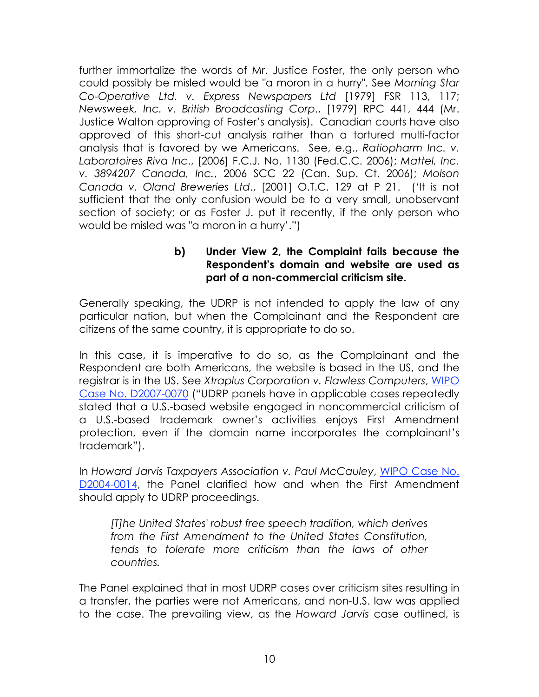further immortalize the words of Mr. Justice Foster, the only person who could possibly be misled would be "a moron in a hurry". See *Morning Star Co-Operative Ltd. v. Express Newspapers Ltd* [1979] FSR 113, 117; *Newsweek, Inc. v. British Broadcasting Corp*., [1979] RPC 441, 444 (Mr. Justice Walton approving of Foster's analysis). Canadian courts have also approved of this short-cut analysis rather than a tortured multi-factor analysis that is favored by we Americans. See, e.g., *Ratiopharm Inc. v. Laboratoires Riva Inc*., [2006] F.C.J. No. 1130 (Fed.C.C. 2006); *Mattel, Inc. v. 3894207 Canada, Inc.*, 2006 SCC 22 (Can. Sup. Ct. 2006); *Molson Canada v. Oland Breweries Ltd*., [2001] O.T.C. 129 at P 21. ('It is not sufficient that the only confusion would be to a very small, unobservant section of society; or as Foster J. put it recently, if the only person who would be misled was "a moron in a hurry'.")

### **b) Under View 2, the Complaint fails because the Respondent's domain and website are used as part of a non-commercial criticism site.**

Generally speaking, the UDRP is not intended to apply the law of any particular nation, but when the Complainant and the Respondent are citizens of the same country, it is appropriate to do so.

In this case, it is imperative to do so, as the Complainant and the Respondent are both Americans, the website is based in the US, and the registrar is in the US. See *Xtraplus Corporation v. Flawless Computers*, WIPO Case No. D2007-0070 ("UDRP panels have in applicable cases repeatedly stated that a U.S.-based website engaged in noncommercial criticism of a U.S.-based trademark owner's activities enjoys First Amendment protection, even if the domain name incorporates the complainant's trademark").

In *Howard Jarvis Taxpayers Association v. Paul McCauley*, WIPO Case No. D2004-0014, the Panel clarified how and when the First Amendment should apply to UDRP proceedings.

*[T]he United States' robust free speech tradition, which derives from the First Amendment to the United States Constitution, tends to tolerate more criticism than the laws of other countries.*

The Panel explained that in most UDRP cases over criticism sites resulting in a transfer, the parties were not Americans, and non-U.S. law was applied to the case. The prevailing view, as the *Howard Jarvis* case outlined, is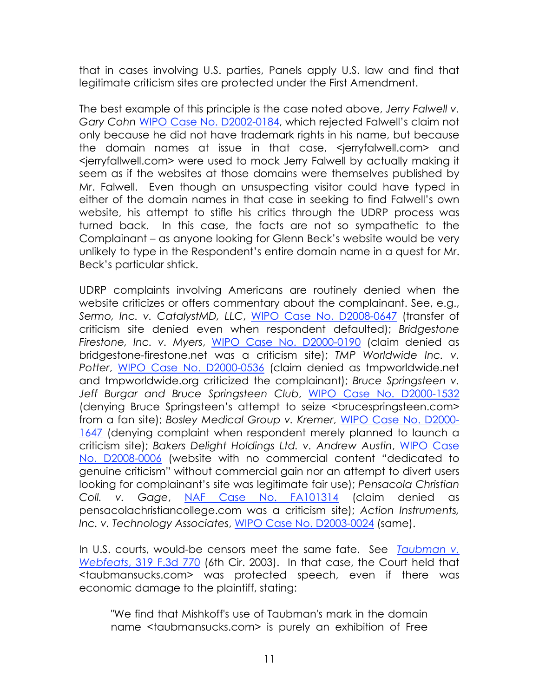that in cases involving U.S. parties, Panels apply U.S. law and find that legitimate criticism sites are protected under the First Amendment.

The best example of this principle is the case noted above, *Jerry Falwell v. Gary Cohn* WIPO Case No. D2002-0184, which rejected Falwell's claim not only because he did not have trademark rights in his name, but because the domain names at issue in that case, <jerryfalwell.com> and <jerryfallwell.com> were used to mock Jerry Falwell by actually making it seem as if the websites at those domains were themselves published by Mr. Falwell. Even though an unsuspecting visitor could have typed in either of the domain names in that case in seeking to find Falwell's own website, his attempt to stifle his critics through the UDRP process was turned back. In this case, the facts are not so sympathetic to the Complainant – as anyone looking for Glenn Beck's website would be very unlikely to type in the Respondent's entire domain name in a quest for Mr. Beck's particular shtick.

UDRP complaints involving Americans are routinely denied when the website criticizes or offers commentary about the complainant. See, e.g., *Sermo, Inc. v. CatalystMD, LLC*, WIPO Case No. D2008-0647 (transfer of criticism site denied even when respondent defaulted); *Bridgestone Firestone, Inc. v. Myers*, WIPO Case No. D2000-0190 (claim denied as bridgestone-firestone.net was a criticism site); *TMP Worldwide Inc. v. Potter*, WIPO Case No. D2000-0536 (claim denied as tmpworldwide.net and tmpworldwide.org criticized the complainant); *Bruce Springsteen v. Jeff Burgar and Bruce Springsteen Club*, WIPO Case No. D2000-1532 (denying Bruce Springsteen's attempt to seize <brucespringsteen.com> from a fan site); *Bosley Medical Group v. Kremer*, WIPO Case No. D2000- 1647 (denying complaint when respondent merely planned to launch a criticism site); *Bakers Delight Holdings Ltd. v. Andrew Austin*, WIPO Case No. D2008-0006 (website with no commercial content "dedicated to genuine criticism" without commercial gain nor an attempt to divert users looking for complainant's site was legitimate fair use); *Pensacola Christian Coll. v. Gage*, NAF Case No. FA101314 (claim denied as pensacolachristiancollege.com was a criticism site); *Action Instruments, Inc. v. Technology Associates*, WIPO Case No. D2003-0024 (same).

In U.S. courts, would-be censors meet the same fate. See *Taubman v. Webfeats*, 319 F.3d 770 (6th Cir. 2003). In that case, the Court held that <taubmansucks.com> was protected speech, even if there was economic damage to the plaintiff, stating:

"We find that Mishkoff's use of Taubman's mark in the domain name <taubmansucks.com> is purely an exhibition of Free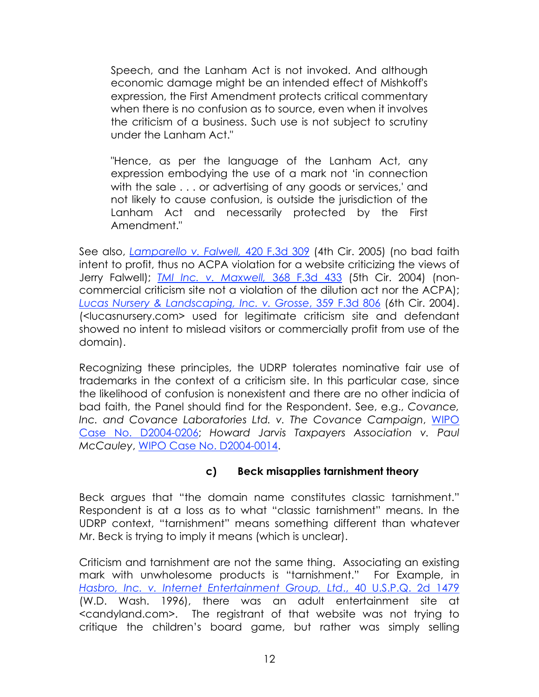Speech, and the Lanham Act is not invoked. And although economic damage might be an intended effect of Mishkoff's expression, the First Amendment protects critical commentary when there is no confusion as to source, even when it involves the criticism of a business. Such use is not subject to scrutiny under the Lanham Act."

"Hence, as per the language of the Lanham Act, any expression embodying the use of a mark not 'in connection with the sale . . . or advertising of any goods or services,' and not likely to cause confusion, is outside the jurisdiction of the Lanham Act and necessarily protected by the First Amendment."

See also, *Lamparello v. Falwell,* 420 F.3d 309 (4th Cir. 2005) (no bad faith intent to profit, thus no ACPA violation for a website criticizing the views of Jerry Falwell); *TMI Inc. v. Maxwell,* 368 F.3d 433 (5th Cir. 2004) (noncommercial criticism site not a violation of the dilution act nor the ACPA); *Lucas Nursery & Landscaping, Inc. v. Grosse*, 359 F.3d 806 (6th Cir. 2004). (<lucasnursery.com> used for legitimate criticism site and defendant showed no intent to mislead visitors or commercially profit from use of the domain).

Recognizing these principles, the UDRP tolerates nominative fair use of trademarks in the context of a criticism site. In this particular case, since the likelihood of confusion is nonexistent and there are no other indicia of bad faith, the Panel should find for the Respondent. See, e.g., *Covance, Inc. and Covance Laboratories Ltd. v. The Covance Campaign*, WIPO Case No. D2004-0206; *Howard Jarvis Taxpayers Association v. Paul McCauley*, WIPO Case No. D2004-0014.

## **c) Beck misapplies tarnishment theory**

Beck argues that "the domain name constitutes classic tarnishment." Respondent is at a loss as to what "classic tarnishment" means. In the UDRP context, "tarnishment" means something different than whatever Mr. Beck is trying to imply it means (which is unclear).

Criticism and tarnishment are not the same thing. Associating an existing mark with unwholesome products is "tarnishment." For Example, in *Hasbro, Inc. v. Internet Entertainment Group, Ltd*., 40 U.S.P.Q. 2d 1479 (W.D. Wash. 1996), there was an adult entertainment site at <candyland.com>. The registrant of that website was not trying to critique the children's board game, but rather was simply selling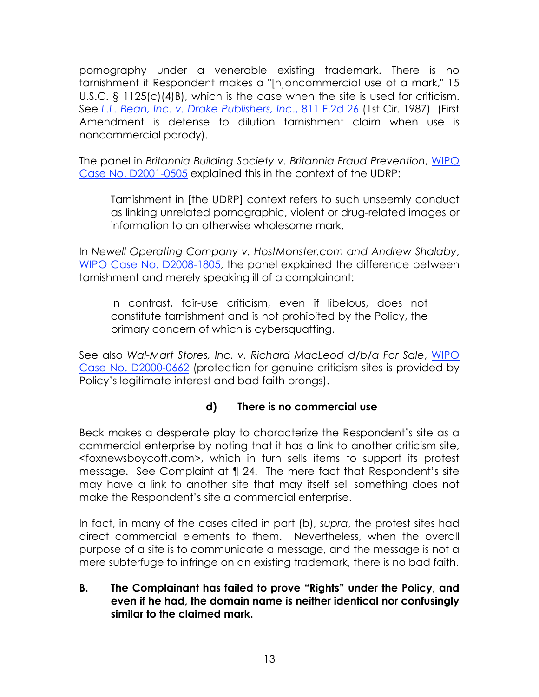pornography under a venerable existing trademark. There is no tarnishment if Respondent makes a "[n]oncommercial use of a mark," 15 U.S.C. § 1125(c)(4)B), which is the case when the site is used for criticism. See *L.L. Bean, Inc. v. Drake Publishers, Inc*., 811 F.2d 26 (1st Cir. 1987) (First Amendment is defense to dilution tarnishment claim when use is noncommercial parody).

The panel in *Britannia Building Society v. Britannia Fraud Prevention*, WIPO Case No. D2001-0505 explained this in the context of the UDRP:

Tarnishment in [the UDRP] context refers to such unseemly conduct as linking unrelated pornographic, violent or drug-related images or information to an otherwise wholesome mark.

In *Newell Operating Company v. HostMonster.com and Andrew Shalaby*, WIPO Case No. D2008-1805, the panel explained the difference between tarnishment and merely speaking ill of a complainant:

In contrast, fair-use criticism, even if libelous, does not constitute tarnishment and is not prohibited by the Policy, the primary concern of which is cybersquatting.

See also *Wal-Mart Stores, Inc. v. Richard MacLeod d/b/a For Sale*, WIPO Case No. D2000-0662 (protection for genuine criticism sites is provided by Policy's legitimate interest and bad faith prongs).

## **d) There is no commercial use**

Beck makes a desperate play to characterize the Respondent's site as a commercial enterprise by noting that it has a link to another criticism site, <foxnewsboycott.com>, which in turn sells items to support its protest message. See Complaint at ¶ 24. The mere fact that Respondent's site may have a link to another site that may itself sell something does not make the Respondent's site a commercial enterprise.

In fact, in many of the cases cited in part (b), *supra*, the protest sites had direct commercial elements to them. Nevertheless, when the overall purpose of a site is to communicate a message, and the message is not a mere subterfuge to infringe on an existing trademark, there is no bad faith.

### **B. The Complainant has failed to prove "Rights" under the Policy, and even if he had, the domain name is neither identical nor confusingly similar to the claimed mark.**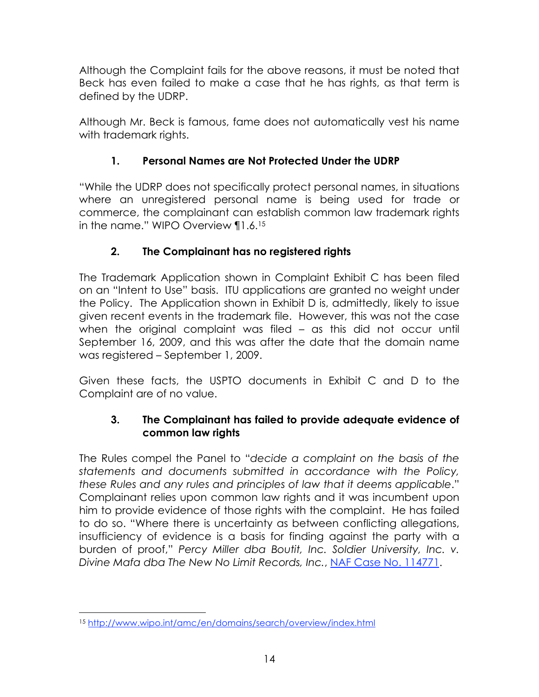Although the Complaint fails for the above reasons, it must be noted that Beck has even failed to make a case that he has rights, as that term is defined by the UDRP.

Although Mr. Beck is famous, fame does not automatically vest his name with trademark rights.

# **1. Personal Names are Not Protected Under the UDRP**

"While the UDRP does not specifically protect personal names, in situations where an unregistered personal name is being used for trade or commerce, the complainant can establish common law trademark rights in the name." WIPO Overview ¶1.6.15

# **2. The Complainant has no registered rights**

The Trademark Application shown in Complaint Exhibit C has been filed on an "Intent to Use" basis. ITU applications are granted no weight under the Policy. The Application shown in Exhibit D is, admittedly, likely to issue given recent events in the trademark file. However, this was not the case when the original complaint was filed – as this did not occur until September 16, 2009, and this was after the date that the domain name was registered – September 1, 2009.

Given these facts, the USPTO documents in Exhibit C and D to the Complaint are of no value.

## **3. The Complainant has failed to provide adequate evidence of common law rights**

The Rules compel the Panel to "*decide a complaint on the basis of the statements and documents submitted in accordance with the Policy, these Rules and any rules and principles of law that it deems applicable*." Complainant relies upon common law rights and it was incumbent upon him to provide evidence of those rights with the complaint. He has failed to do so. "Where there is uncertainty as between conflicting allegations, insufficiency of evidence is a basis for finding against the party with a burden of proof," *Percy Miller dba Boutit, Inc. Soldier University, Inc. v. Divine Mafa dba The New No Limit Records, Inc.*, NAF Case No. 114771.

 <sup>15</sup> http://www.wipo.int/amc/en/domains/search/overview/index.html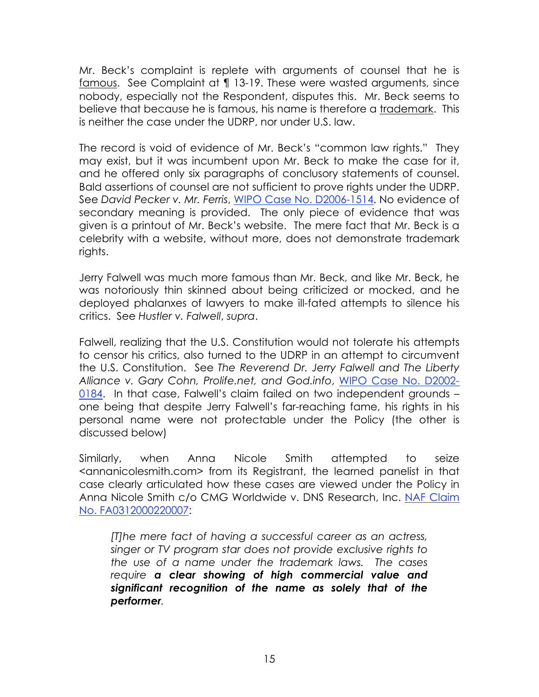Mr. Beck's complaint is replete with arguments of counsel that he is famous. See Complaint at ¶ 13-19. These were wasted arguments, since nobody, especially not the Respondent, disputes this. Mr. Beck seems to believe that because he is famous, his name is therefore a trademark. This is neither the case under the UDRP, nor under U.S. law.

The record is void of evidence of Mr. Beck's "common law rights." They may exist, but it was incumbent upon Mr. Beck to make the case for it, and he offered only six paragraphs of conclusory statements of counsel. Bald assertions of counsel are not sufficient to prove rights under the UDRP. See *David Pecker v. Mr. Ferris*, WIPO Case No. D2006-1514. No evidence of secondary meaning is provided. The only piece of evidence that was given is a printout of Mr. Beck's website. The mere fact that Mr. Beck is a celebrity with a website, without more, does not demonstrate trademark rights.

Jerry Falwell was much more famous than Mr. Beck, and like Mr. Beck, he was notoriously thin skinned about being criticized or mocked, and he deployed phalanxes of lawyers to make ill-fated attempts to silence his critics. See *Hustler v. Falwell*, *supra*.

Falwell, realizing that the U.S. Constitution would not tolerate his attempts to censor his critics, also turned to the UDRP in an attempt to circumvent the U.S. Constitution. See *The Reverend Dr. Jerry Falwell and The Liberty Alliance v. Gary Cohn, Prolife.net, and God.info*, WIPO Case No. D2002- 0184. In that case, Falwell's claim failed on two independent grounds – one being that despite Jerry Falwell's far-reaching fame, his rights in his personal name were not protectable under the Policy (the other is discussed below)

Similarly, when Anna Nicole Smith attempted to seize <annanicolesmith.com> from its Registrant, the learned panelist in that case clearly articulated how these cases are viewed under the Policy in Anna Nicole Smith c/o CMG Worldwide v. DNS Research, Inc. NAF Claim No. FA0312000220007:

*[T]he mere fact of having a successful career as an actress, singer or TV program star does not provide exclusive rights to the use of a name under the trademark laws. The cases require a clear showing of high commercial value and significant recognition of the name as solely that of the performer.*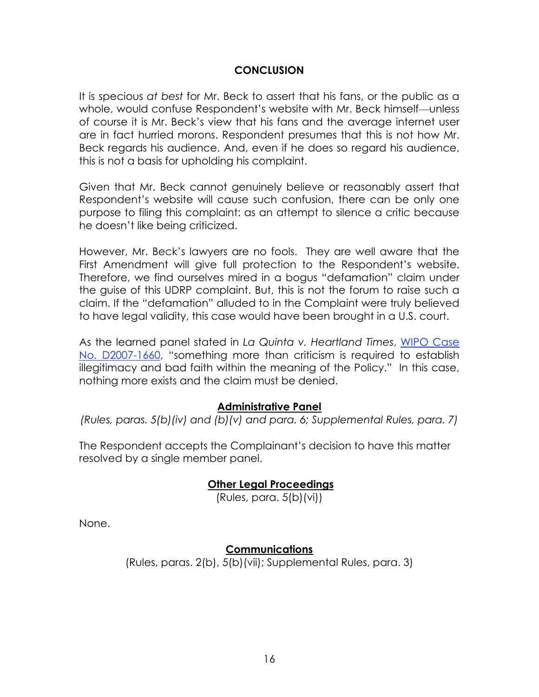### **CONCLUSION**

It is specious *at best* for Mr. Beck to assert that his fans, or the public as a whole, would confuse Respondent's website with Mr. Beck himself—unless of course it is Mr. Beck's view that his fans and the average internet user are in fact hurried morons. Respondent presumes that this is not how Mr. Beck regards his audience. And, even if he does so regard his audience, this is not a basis for upholding his complaint.

Given that Mr. Beck cannot genuinely believe or reasonably assert that Respondent's website will cause such confusion, there can be only one purpose to filing this complaint: as an attempt to silence a critic because he doesn't like being criticized.

However, Mr. Beck's lawyers are no fools. They are well aware that the First Amendment will give full protection to the Respondent's website. Therefore, we find ourselves mired in a bogus "defamation" claim under the guise of this UDRP complaint. But, this is not the forum to raise such a claim. If the "defamation" alluded to in the Complaint were truly believed to have legal validity, this case would have been brought in a U.S. court.

As the learned panel stated in *La Quinta v. Heartland Times*, WIPO Case No. D2007-1660, "something more than criticism is required to establish illegitimacy and bad faith within the meaning of the Policy." In this case, nothing more exists and the claim must be denied.

#### **Administrative Panel**

*(Rules, paras. 5(b)(iv) and (b)(v) and para. 6; Supplemental Rules, para. 7)*

The Respondent accepts the Complainant's decision to have this matter resolved by a single member panel.

#### **Other Legal Proceedings**

(Rules, para. 5(b)(vi))

None.

### **Communications**

(Rules, paras. 2(b), 5(b)(vii); Supplemental Rules, para. 3)